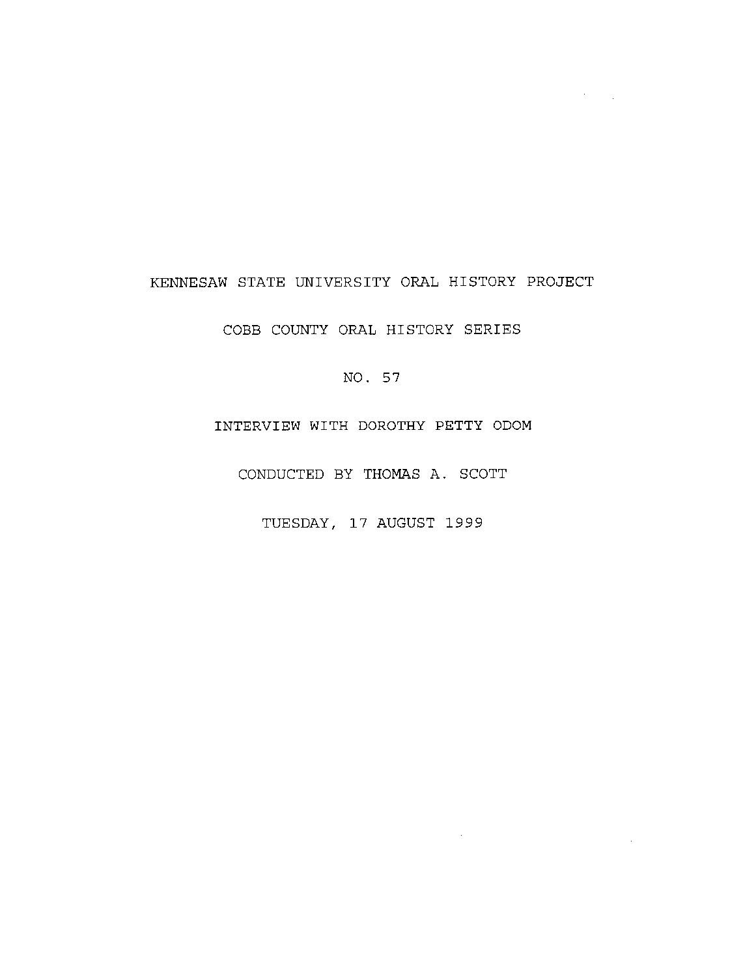## KENNESAW STATE UNIVERSITY ORAL HISTORY PROJECT

 $\mathcal{O}(10^{11}~\rm{M}_{\odot})$ 

COBB COUNTY ORAL HISTORY SERIES

NO. 57

INTERVIEW WITH DOROTHY **PETTY** ODOM

CONDUCTED BY THOMAS A. SCOTT

TUESDAY, 17 AUGUST 1999

 $\sim 10^{-11}$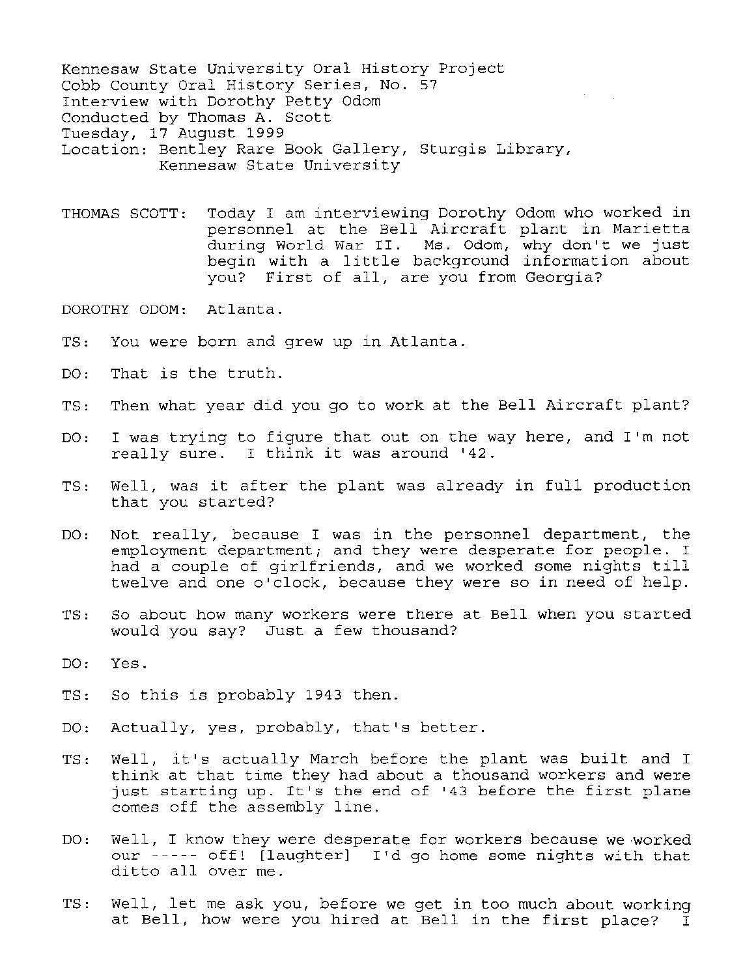Kennesaw State University Oral History Project Cobb County Oral History Series, No. 57 Interview with Dorothy Petty Odom Conducted by Thomas A. Scott Tuesday, 17 August 1999 Location: Bentley Rare Book Gallery, Sturgis Library, Kennesaw State University

THOMAS SCOTT: Today I am interviewing Dorothy Odom who worked in personnel at the Bell Aircraft plant in Marietta during World War II. Ms. Odom, why don't we just begin with a little background information about you? First of all, are you from Georgia?

DOROTHY ODOM: Atlanta.

- TS: You were born and grew up in Atlanta.
- DO: That is the truth.
- TS: Then what year did you go to work at the Bell Aircraft plant?
- DO: I was trying to figure that out on the way here, and I'm not really sure. I think it was around '42.
- TS: Well, was it after the plant was already in full production that you started?
- DO: Not really, because I was in the personnel department, the employment department; and they were desperate for people. <sup>I</sup> had a couple of girlfriends, and we worked some nights till twelve and one o'clock, because they were so in need of help.
- TS: So about how many workers were there at Bell when you started would you say? Just a few thousand?
- DO: Yes.
- TS: So this is probably 1943 then.
- DO: Actually, yes, probably, that's better.
- TS: Well, it's actually March before the plant was built and I think at that time they had about a thousand workers and were just starting up. It's the end of '43 before the first plane comes off the assembly line.
- DO: Well, I know they were desperate for workers because we worked our----- off! [laughter] I'd go home some nights with that ditto all over me.
- TS: Well, let me ask you, before we get in too much about working at Bell, how were you hired at Bell in the first place? I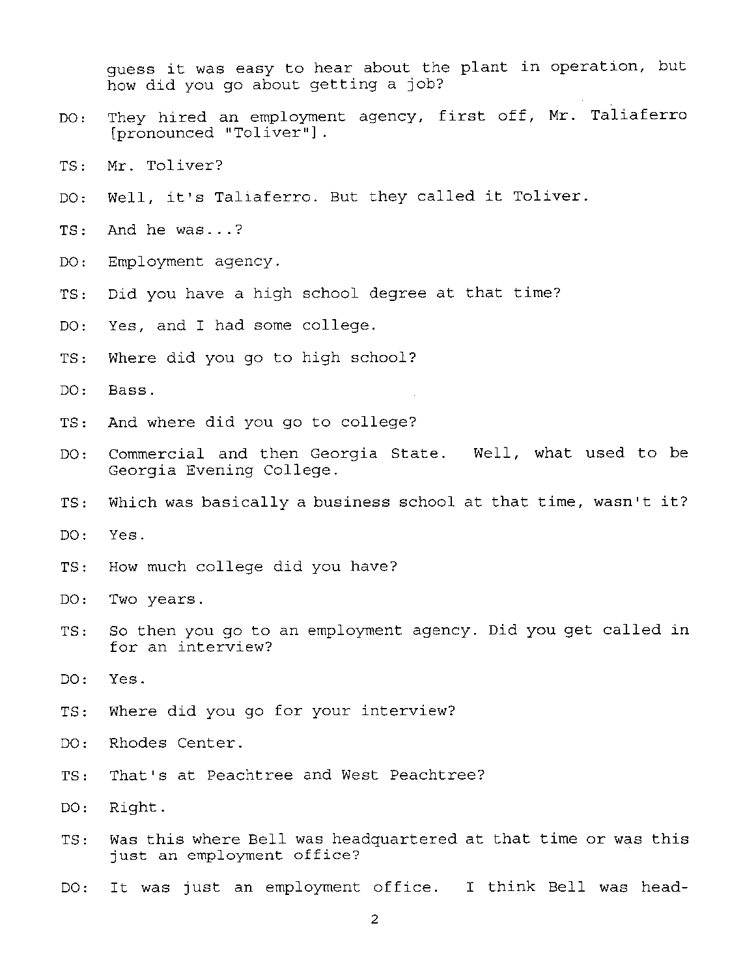guess it was easy to hear about the plant in operation, but how did you go about getting a job?

- DO: They hired an employment agency, first off, Mr. Taliaferro [pronounced "Toliver"].
- TS: Mr. Toliver?
- DO: Well, it's Taliaferro. But they called it Toliver.
- TS: And he was ...?
- DO: Employment agency.
- TS: Did you have a high school degree at that time?
- DO: Yes, and I had some college.
- TS: Where did you go to high school?
- DO: Bass.
- TS: And where did you go to college?
- DO: Commercial and then Georgia State. Well, what used to be Georgia Evening College.
- TS: Which was basically a business school at that time, wasn't it?
- DO: Yes.
- TS: How much college did you have?
- DO: Two years .
- TS: So then you go to an employment agency. Did you get called in for an interview?
- DO: Yes.
- TS: Where did you go for your interview?
- DO: Rhodes Center.
- TS: That's at Peachtree and West Peachtree?
- DO: Right.
- TS: Was this where Bell was headquartered at that time or was this just an employment office?
- DO: It was just an employment office. I think Bell was head-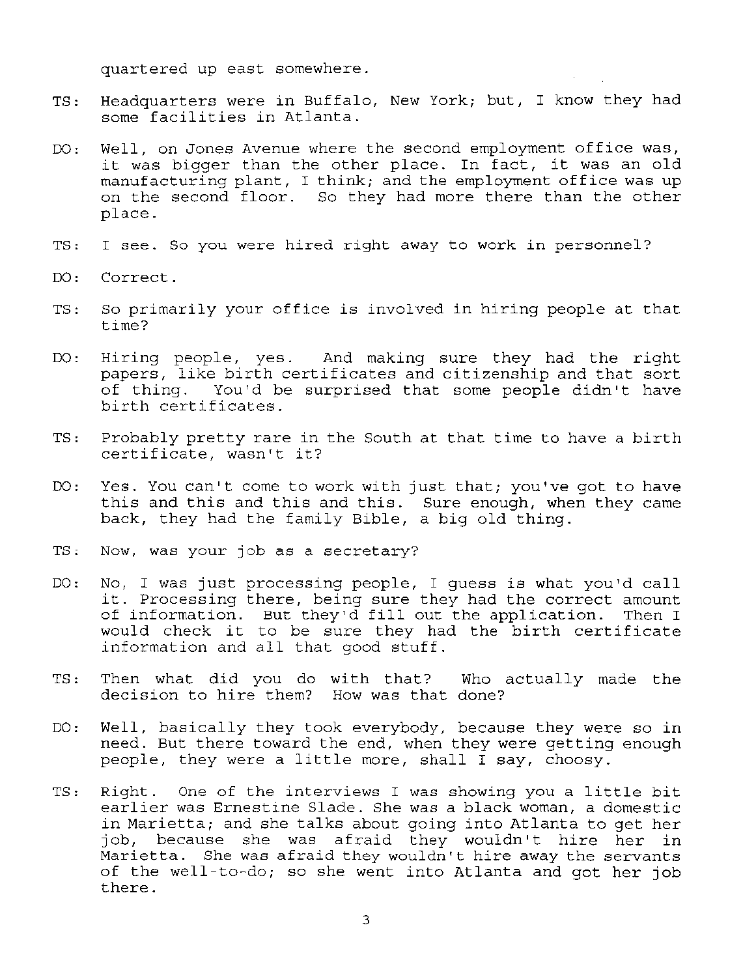quartered up east somewhere.

- TS: Headquarters were in Buffalo, New York; but, I know they had some facilities in Atlanta.
- DO: Well, on Jones Avenue where the second employment office was, it was bigger than the other place. In fact, it was an old manufacturing plant, I think; and the employment office was up on the second floor. So they had more there than the other place.
- TS: I see. So you were hired right away to work in personnel?
- DO: Correct.
- TS: So primarily your office is involved in hiring people at that time?
- DO: Hiring people, yes. And making sure they had the right papers, like birth certificates and citizenship and that sort of thing. You'd be surprised that some people didn't have birth certificates.
- TS: Probably pretty rare in the South at that time to have a birth certificate, wasn't it?
- DO: Yes. You can't come to work with just that; you've got to have this and this and this and this. Sure enough, when they came back, they had the family Bible, a big old thing.
- TS: Now, was your job as a secretary?
- DO: No, I was just processing people, I guess is what you'd call it. Processing there, being sure they had the correct amount of information. But they'd fill out the application. Then I would check it to be sure they had the birth certificate information and all that good stuff.
- TS: Then what did you do with that? Who actually made the decision to hire them? How was that done?
- DO: Well, basically they took everybody, because they were so in need. But there toward the end, when they were getting enough people, they were a little more, shall I say, choosy.
- TS: Right. One of the interviews I was showing you a little bit earlier was Ernestine Slade. She was a black woman, a domestic in Marietta; and she talks about going into Atlanta to get her job, because she was afraid they wouldn't hire her in Marietta. She was afraid they wouldn't hire away the servants of the well-to-do; so she went into Atlanta and got her job there.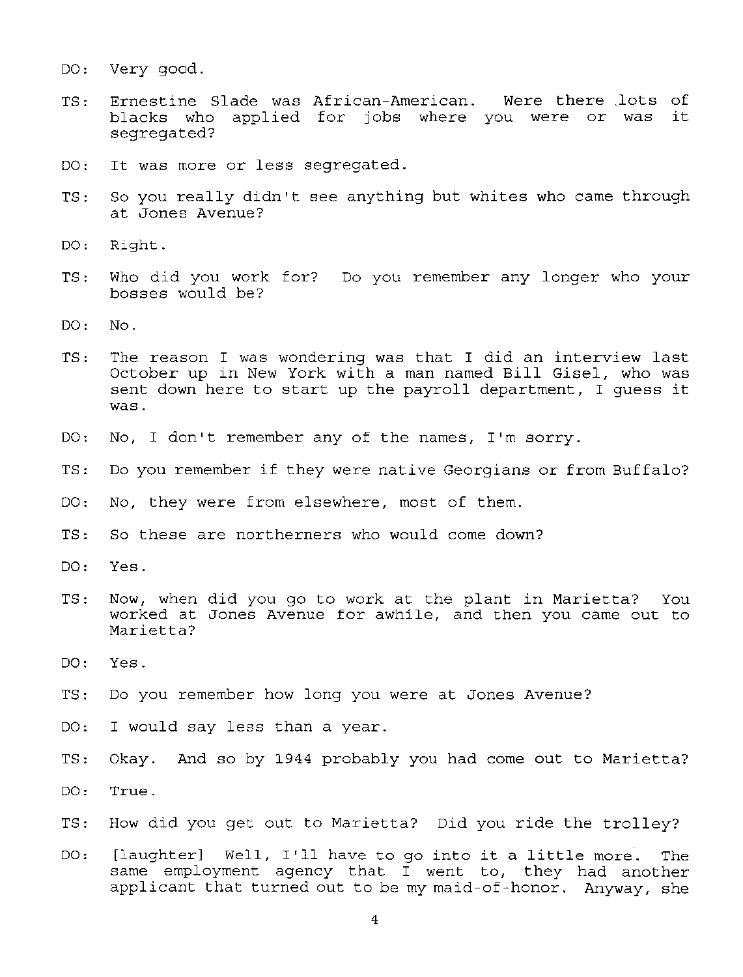- DO: Very good.
- TS: Ernestine Slade was African-American. Were there lots of blacks who applied for jobs where you were or was it segregated?
- DO: It was more or less segregated.
- TS: So you really didn't see anything but whites who came through at Jones Avenue?
- DO: Right.
- TS: Who did you work for? Do you remember any longer who your bosses would be?
- DO: No.
- TS: The reason I was wondering was that I did an interview last October up in New York with a man named **Bill** Gisel, who was sent down here to start up the payroll department, I guess it was.
- DO: No, I don't remember any of the names, I'm sorry.
- TS: Do you remember if they were native Georgians or from Buffalo?
- DO: No, they were from elsewhere, most of them.
- TS: So these are northerners who would come down?
- DO: Yes.
- TS: Now, when did you go to work at the plant in Marietta? You worked at Jones Avenue for awhile, and then you came out to Marietta?
- DO: Yes.
- TS: Do you remember how long you were at Jones Avenue?
- DO: I would say less than a year.
- TS: Okay. And so by 1944 probably you had come out to Marietta?
- DO: True.
- TS: How did you get out to Marietta? Did you ride the trolley?
- DO: [laughter] Well, I'll have to go into it a little more. The same employment agency that I went to, they had another applicant that turned out to be my maid-of-honor. Anyway, she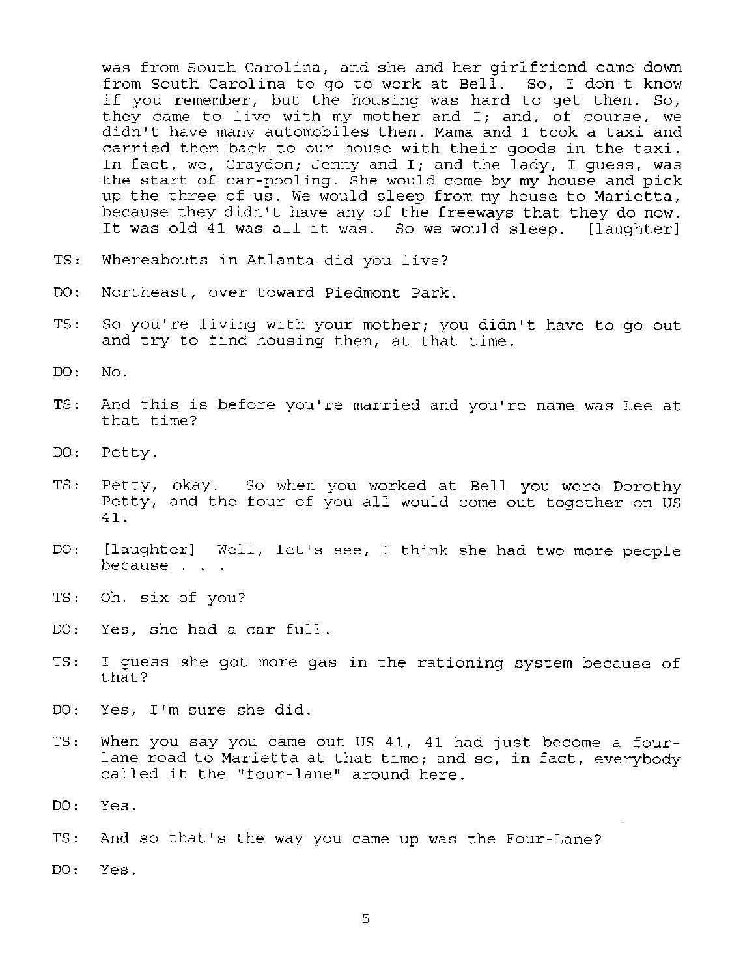was from South Carolina, and she and her girlfriend came down from South Carolina to go to work at Bell. So, I don't know if you remember, but the housing was hard to get then. So, they came to live with my mother and I; and, of course, we didn't have many automobiles then. Mama and I took a taxi and carried them back to our house with their goods in the taxi. In fact, we, Graydon; Jenny and I; and the lady, I quess, was the start of car-pooling. She would come by my house and pick up the three of us. We would sleep from my house to Marietta, because they didn't have any of the freeways that they do now. It was old 41 was all it was. So we would sleep. [laughter]

- TS: Whereabouts in Atlanta did you live?
- DO: Northeast, over toward Piedmont Park.
- TS: So you're living with your mother; you didn't have to go out and try to find housing then, at that time.
- $DO: NO.$
- TS: And this is before you're married and you're name was Lee at that time?
- DO: Petty.
- TS: Petty, okay. So when you worked at Bell you were Dorothy Petty, and the four of you all would come out together on US 41.
- DO: [laughter] Well, let's see, I think she had two more people because
- TS: Oh, six of you?
- DO: Yes, she had a car full.
- TS: I guess she got more gas in the rationing system because of that?
- DO: Yes, I'm sure she did.
- TS: When you say you came out US 41, 41 had just become a fourlane road to Marietta at that time; and so, in fact, everybody called it the "four-lane" around here.
- DO: Yes.
- TS: And so that's the way you came up was the Four-Lane?

DO: Yes.

5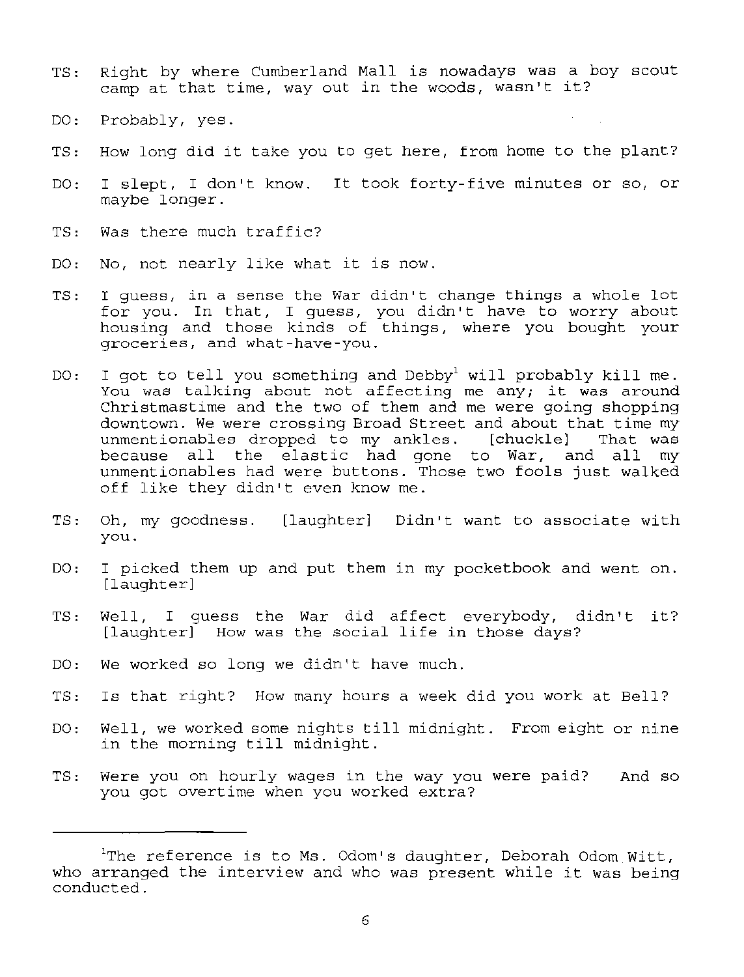- TS: Right by where Cumberland Mall is nowadays was a boy scout camp at that time, way out in the woods, wasn't it?
- DO: Probably, yes.
- TS: How long did it take you to get here, from home to the plant?
- DO: I slept, I don't know. It took forty-five minutes or so, or maybe longer.
- TS: Was there much traffic?
- DO: No, not nearly like what it is now.
- TS: I guess, in a sense the War didn't change things a whole lot for you. In that, I guess, you didn't have to worry about housing and those kinds of things, where you bought your groceries, and what-have-you.
- DO: I got to tell you something and Debby<sup>1</sup> will probably kill me. You was talking about not affecting me any; it was around Christmastime and the two of them and me were going shopping downtown. We were crossing Broad Street and about that time my unmentionables dropped to my ankles. [chuckle] That was unmentionables dropped to my ankles. [chuckle] That was<br>because all the elastic had gone to War, and all my because all the elastic had gone to War, and all unmentionables had were buttons. Those two fools just walked off like they didn't even know me.
- $TS:$ Oh, my goodness. [laughter] Didn't want to associate with you.
- DO: I picked them up and put them in my pocketbook and went on. [laughter]
- TS: Well, I guess the War did affect everybody, didn't it? [laughter] How was the social life in those days?
- DO: We worked so long we didn't have much.
- TS: Is that right? How many hours a week did you work at Bell?
- DO: Well, we worked some nights till midnight. From eight or nine in the morning till midnight.
- TS: Were you on hourly wages in the way you were paid? And so you got overtime when you worked extra?

 $^{\rm 1}$ The reference is to Ms. Odom's daughter, Deborah Odom Witt, who arranged the interview and who was present while it was being conducted.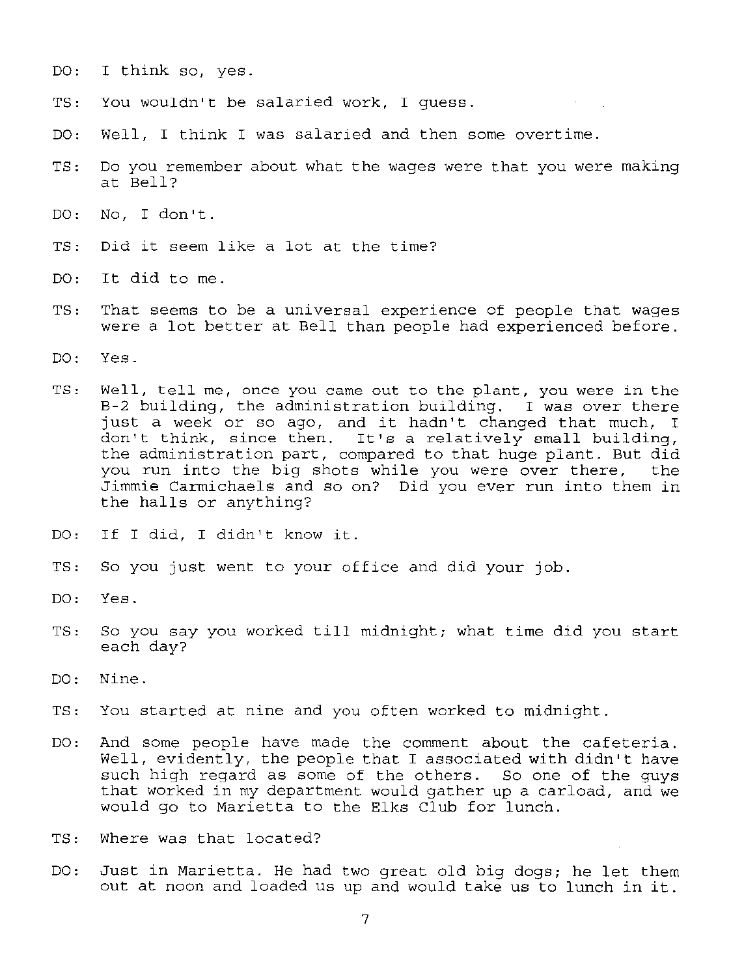- DO: I think so, yes.
- TS: You wouldn't be salaried work, I guess.
- DO: Well, I think I was salaried and then some overtime.
- TS: Do you remember about what the wages were that you were making at Bell?
- DO: No, I don't.
- TS: Did it seem like a lot at the time?
- DO: It did to me.
- TS: That seems to be a universal experience of people that wages were a lot better at Bell than people had experienced before.
- DO: Yes.
- TS: Well, tell me, once you came out to the plant, you were in the B-2 building, the administration building. I was over there just a week or so ago, and it hadn't changed that much, I don't think, since then. It's a relatively small building, the administration part, compared to that huge plant. But did you run into the big shots while you were over there, the Jimmie Carmichaels and so on? Did you ever run into them in the halls or anything?
- DO: If I did, I didn't know it.
- TS: So you just went to your office and did your job.
- DO: Yes.
- TS: So you say you worked till midnight; what time did you start each day?
- DO: Nine.
- TS: You started at nine and you often worked to midnight.
- DO: And some people have made the comment about the cafeteria. Well, evidently, the people that I associated with didn't have such high regard as some of the others. So one of the guys that worked in my department would gather up a carload, and we would go to Marietta to the Elks Club for lunch.
- TS: Where was that located?
- DO: Just in Marietta. He had two great old big dogs; he let them out at noon and loaded us up and would take us to lunch in it.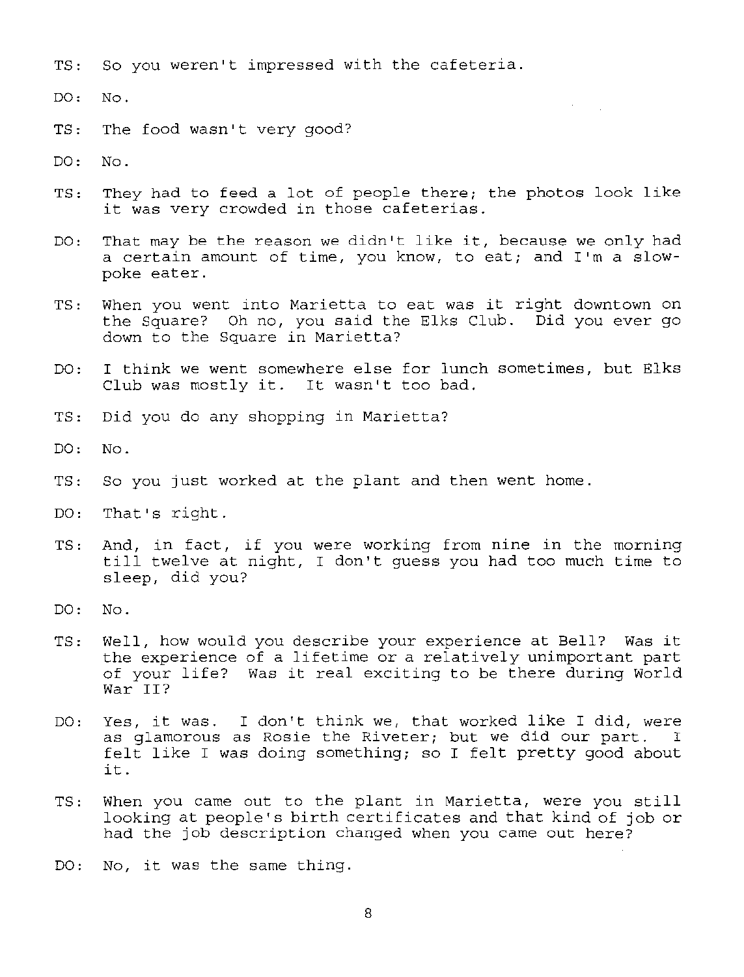- TS: So you weren't impressed with the cafeteria.
- DO: No.
- TS: The food wasn't very good?
- DO: No.
- TS: They had to feed a lot of people there; the photos look like it was very crowded in those cafeterias.
- DO: That may be the reason we didn't like it, because we only had a certain amount of time, you know, to eat; and I'm a slowpoke eater.
- TS: When you went into Marietta to eat was it right downtown on the Square? Oh no, you said the Elks Club. Did you ever go down to the Square in Marietta?
- DO: I think we went somewhere else for lunch sometimes, but Elks Club was mostly it. It wasn't too bad.
- TS: Did you do any shopping in Marietta?
- DO: No.
- TS: So you just worked at the plant and then went home.
- DO: That's right.
- TS: And, in fact, if you were working from nine in the morning till twelve at night, I don't guess you had too much time to sleep, did you?
- DO: No.
- TS: Well, how would you describe your experience at Bell? Was it the experience of a lifetime or a relatively unimportant part of your life? Was it real exciting to be there during World War II?
- DO: Yes, it was. I don't think we, that worked like I did, were<br>as glamorous as Rosie the Riveter; but we did our part. I as glamorous as Rosie the Riveter; but we did our part. felt like I was doing something; so I felt pretty good about it.
- TS: When you came out to the plant in Marietta, were you still looking at people's birth certificates and that kind of job or had the job description changed when you came out here?
- DO: No, it was the same thing.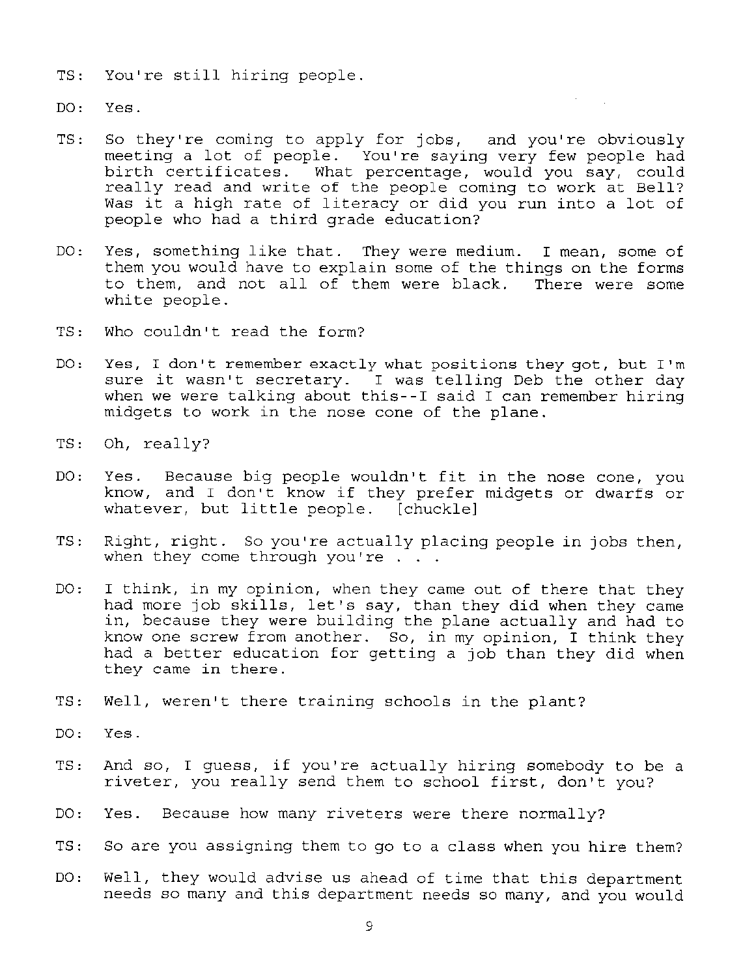- TS: You're still hiring people.
- DO: Yes.
- TS: So they're coming to apply for jobs, and you're obviously meeting a lot of people. You're saying very few people had birth certificates. What percentage, would you say, could really read and write of the people coming to work at Bell? Was it a high rate of literacy or did you run into a lot of people who had a third grade education?
- DO: Yes, something like that. They were medium. I mean, some of them you would have to explain some of the things on the forms to them, and not all of them were black. There were some white people.
- TS: Who couldn't read the form?
- DO: Yes, I don't remember exactly what positions they got, but I'm sure it wasn't secretary. I was telling Deb the other day when we were talking about this--I said I can remember hiring midgets to work in the nose cone of the plane.
- TS: Oh, really?
- DO: Yes. Because big people wouldn't fit in the nose cone, you know, and I don't know if they prefer midgets or dwarfs or whatever, but little people. [chuckle]
- TS: Right, right. So you're actually placing people in jobs then, when they come through you're . . .
- DO: I think, in my opinion, when they came out of there that they had more job skills, let's say, than they did when they came in, because they were building the plane actually and had to know one screw from another. So, in my opinion, I think they had a better education for getting a job than they did when they came in there.
- TS: Well, weren't there training schools in the plant?
- DO: Yes.
- TS: And so, I guess, if you're actually hiring somebody to be a riveter, you really send them to school first, don't you?
- DO, Yes. Because how many riveters were there normally?
- TS: So are you assigning them to go to a class when you hire them?
- DO: Well, they would advise us ahead of time that this department needs so many and this department needs so many, and you would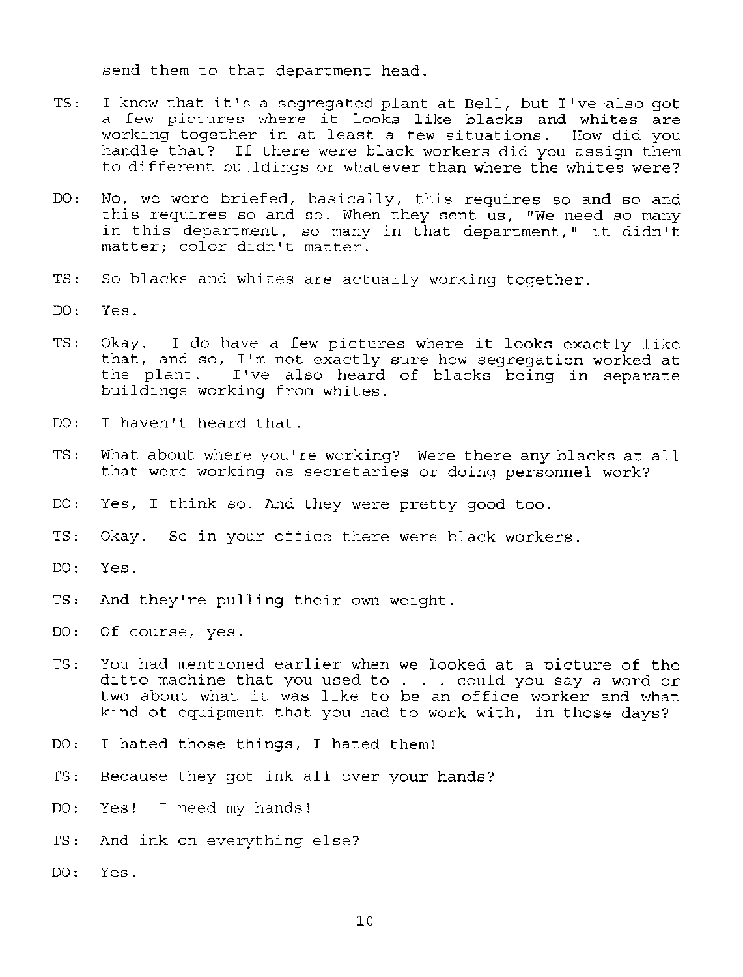send them to that department head.

- TS: I know that it's a segregated plant at Bell, but I've also got a few pictures where it looks like blacks and whites are working together in at least a few situations. How did you handle that? If there were black workers did you assign them to different buildings or whatever than where the whites were?
- DO: No, we were briefed, basically, this requires so and so and this requires so and so. When they sent us, "We need so many in this department, so many in that department," it didn't matter; color didn't matter.
- TS: So blacks and whites are actually working together.
- DO: Yes.
- TS: Okay. I do have a few pictures where it looks exactly like that, and so, I'm not exactly sure how segregation worked at the plant. I've also heard of blacks being in separate buildings working from whites.
- DO: I haven't heard that.
- TS: What about where you're working? Were there any blacks at all that were working as secretaries or doing personnel work?
- DO: Yes, I think so. And they were pretty good too.
- TS: Okay. So in your office there were black workers.
- DO: Yes.
- TS: And they're pulling their own weight.
- DO: Of course, yes.
- You had mentioned earlier when we looked at a picture of the  $TS:$ ditto machine that you used to . could you say a word or two about what it was like to be an office worker and what kind of equipment that you had to work with, in those days?
- DO: I hated those things, I hated them!
- TS: Because they got ink all over your hands?
- Yes! I need my hands!  $DO:$
- TS: And ink on everything else?
- DO: Yes.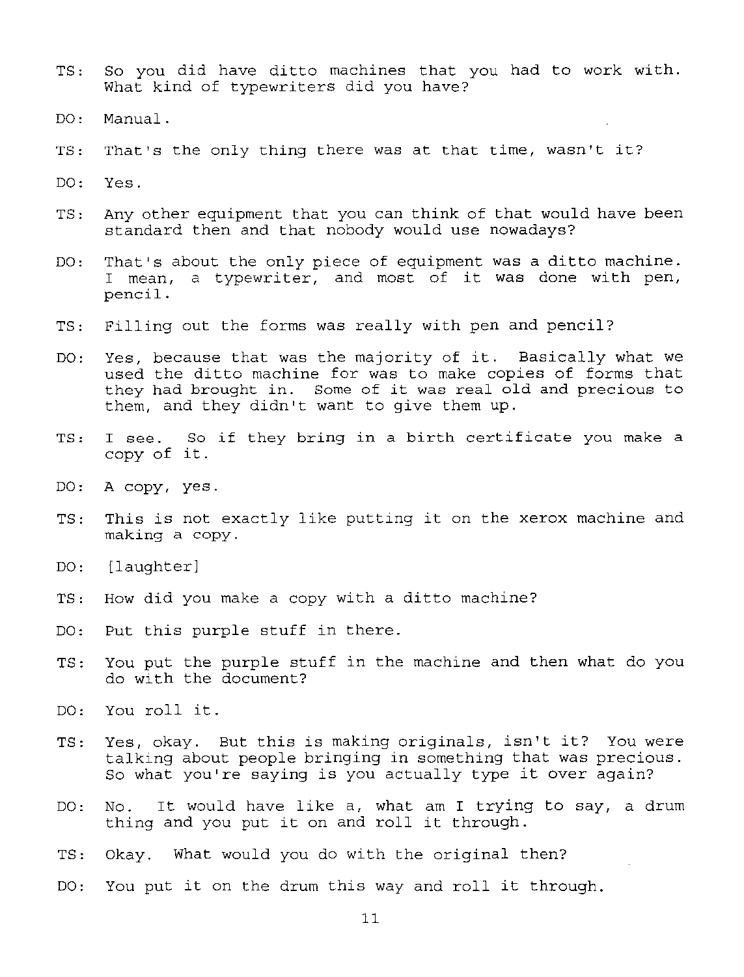- TS: So you did have ditto machines that you had to work with. What kind of typewriters did you have?
- DO: Manual.
- TS: That's the only thing there was at that time, wasn't it?
- DO: Yes.
- TS: Any other equipment that you can think of that would have been standard then and that nobody would use nowadays?
- DO: That's about the only piece of equipment was a ditto machine. I mean, a typewriter, and most of it was done with pen, pencil.
- TS: Filling out the forms was really with pen and pencil?
- DO: Yes, because that was the majority of it. Basically what we used the ditto machine for was to make copies of forms that they had brought in. Some of it was real old and precious to them, and they didn't want to give them up.
- TS: I see. So if they bring in a birth certificate you make a copy of it.
- DO: A copy, yes.
- TS: This is not exactly like putting it on the xerox machine and making a copy.
- DO: [laughter]
- TS: How did you make a copy with a ditto machine?
- DO: Put this purple stuff in there.
- TS: You put the purple stuff in the machine and then what do you do with the document?
- DO: You roll it.
- Ts, Yes, okay. But this is making originals, isn't it? You were talking about people bringing in something that was precious. taiking about people bringing in something that was preciot<br>So what you're saying is you actually type it over again?
- DO: No. It would have like a, what am I trying to say, a drum No. It would have like a, what am I trying<br>thing and you put it on and roll it through.
- TS: Okay. What would you do with the original then?
- DO: You put it on the drum this way and roll it through.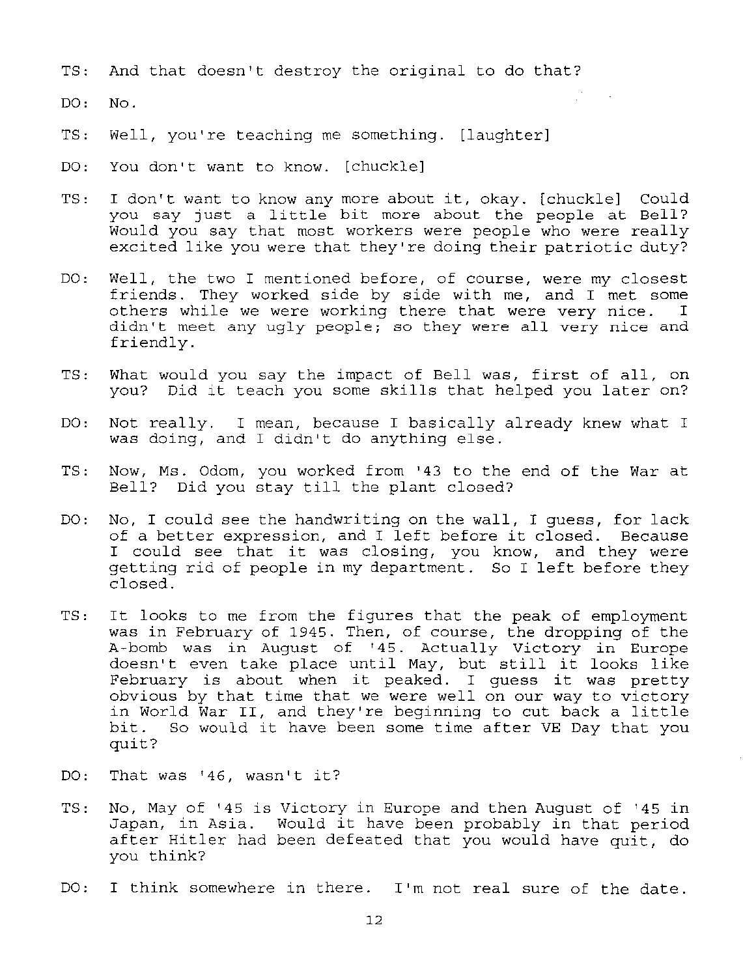- TS: And that doesn't destroy the original to do that?
- DO: No.
- TS: Well, you're teaching me something. [laughter]
- DO: You don't want to know. [chuckle]
- TS: I don't want to know any more about it, okay. [chuckle] Could you say just a little bit more about the people at Bell? Would you say that most workers were people who were really excited like you were that they're doing their patriotic duty?
- DO: Well, the two I mentioned before, of course, were my closest friends. They worked side by side with me, and I met some others while we were working there that were very nice. I didn't meet any ugly people; so they were all very nice and friendly.
- TS: What would you say the impact of Bell was, first of all, on you? Did it teach you some skills that helped you later on?
- DO: Not really. I mean, because I basically already knew what I was doing, and I didn't do anything else.
- TS: Now, Ms. Odom, you worked from '43 to the end of the War at Bell? Did you stay till the plant closed?
- DO: No, I could see the handwriting on the wall, I guess, for lack of a better expression, and I left before it closed. Because I could see that it was closing, you know, and they were getting rid of people in my department. So I left before they closed.
- TS: It looks to me from the figures that the peak of employment was in February of 1945. Then, of course, the dropping of the A~bomb was in August of '45. Actually Victory in Europe doesn't even take place until May, but still it looks like February is about when it peaked. I guess it was pretty obvious by that time that we were well on our way to victory in World War II, and they're beginning to cut back a little bit. So would it have been some time after VE Day that you quit?
- DO: That was '46, wasn't it?
- TS: No, May of '45 is Victory in Europe and then August of '45 in Japan, in Asia. Would it have been probably in that period after Hitler had been defeated that you would have quit, do you think?
- DO: I think somewhere in there. I'm not real sure of the date.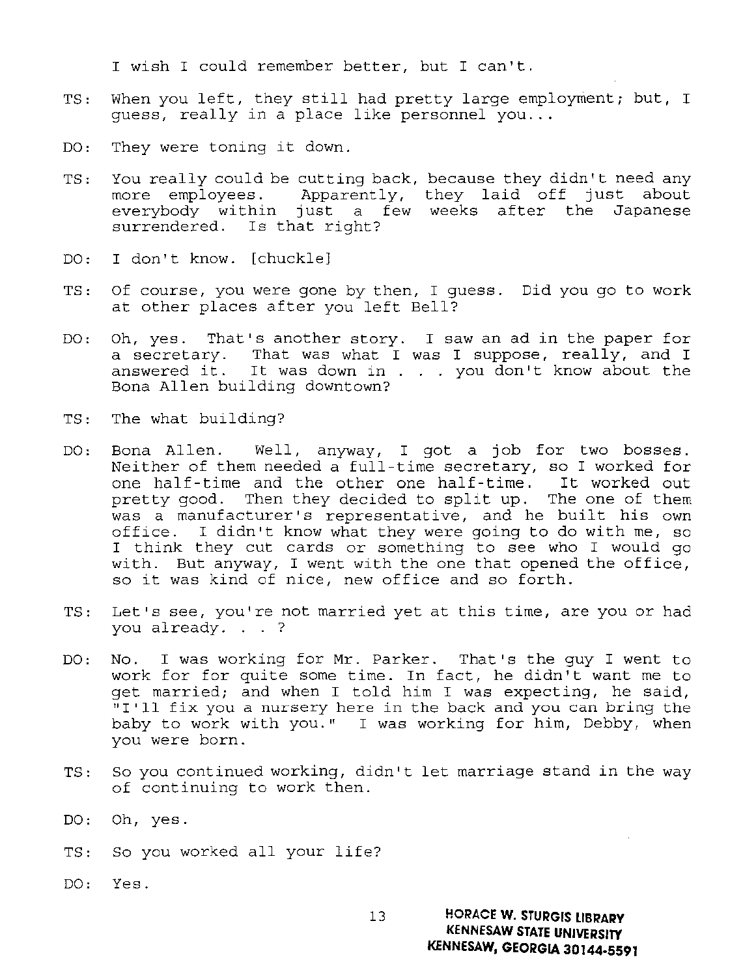I wish I could remember better, but I can't.

- TS: When you left, they still had pretty large employment; but, I quess, really in a place like personnel you...
- DO: They were toning it down.
- TS: You really could be cutting back, because they didn't need any more employees. Apparently, they laid off just about everybody within just a few weeks after the Japanese surrendered. Is that right?
- DO: I don't know. [chuckle]
- TS: Of course, you were gone by then, I guess. Did you go to work at other places after you left Bell?
- DO: Oh, yes. That's another story. I saw an ad in the paper for a secretary. That was what I was I suppose, really, and I answered it. It was down in . you don't know about the Bona Allen building downtown?
- TS: The what building?
- DO: Bona Allen. Well, anyway, I got a job for two bosses. Neither of them needed a full-time secretary, so I worked for one half-time and the other one half-time. It worked out pretty good. Then they decided to split up. The one of them was a manufacturer's representative, and he built his own office. I didn't know what they were going to do with me, so I think they cut cards or something to see who I would go with. But anyway, I went with the one that opened the office, so it was kind of nice, new office and so forth.
- TS: Let's see, you're not married yet at this time, are you or had you already. . . ?
- DO: No. I was working for Mr. Parker. That's the guy I went to work for for quite some time. In fact, he didn't want me to get married; and when I told him I was expecting, he said, "I'll fix you a nursery here in the back and you can bring the baby to work with you." I was working for him, Debby, when you were born.
- TS: So you continued working, didn't let marriage stand in the way of continuing to work then.
- DO: Oh, yes.
- TS: So you worked all your life?
- DO: Yes.

13 HORACE W. STURGIS LIBRARY **KENNESAW STATE UNIVERSITY**  KENNESAW, GEORGIA 30144·5591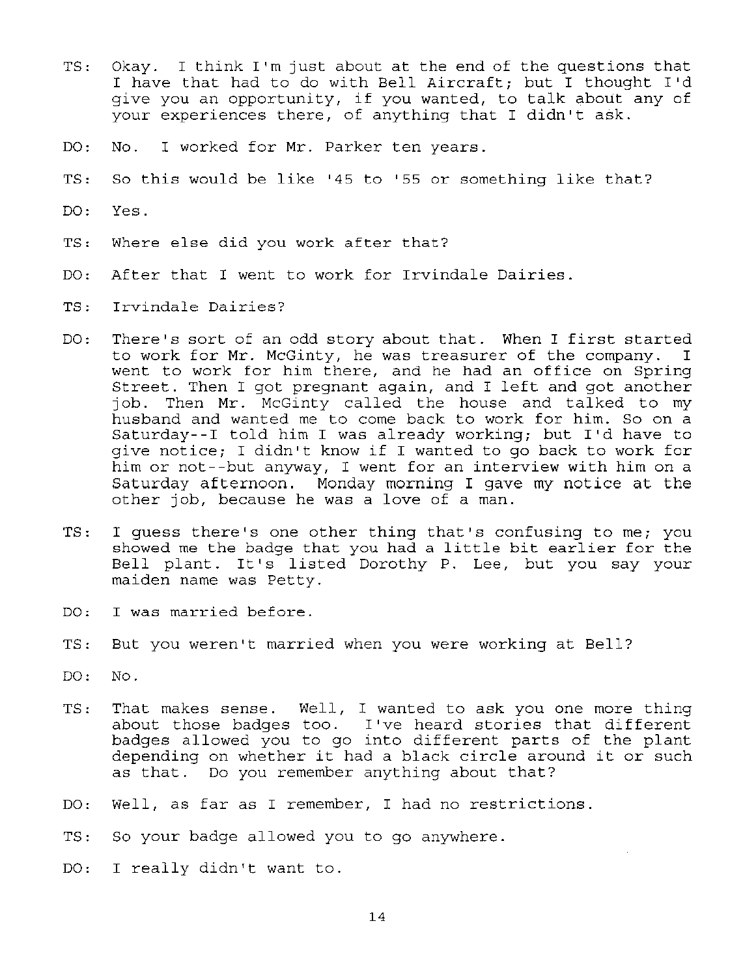- TS: Okay. I think I'm just about at the end of the questions that I have that had to do with Bell Aircraft; but I thought I'd give you an opportunity, if you wanted, to talk about any of your experiences there, of anything that I didn't ask.
- DO: No. I worked for Mr. Parker ten years.
- TS: So this would be like '45 to '55 or something like that?
- DO: Yes.
- TS: Where else did you work after that?
- DO: After that I went to work for Irvindale Dairies.
- TS: Irvindale Dairies?
- DO: There's sort of an odd story about that. When I first started<br>to work for Mr. McGinty, he was treasurer of the company. I to work for Mr. McGinty, he was treasurer of the company. I went to work for him there, and he had an office on Spring Street. Then I got pregnant again, and I left and got another job. Then Mr. McGinty called the house and talked to my husband and wanted me to come back to work for him. So on a Saturday--I told him I was already working; but I'd have to give notice; I didn't know if I wanted to go back to work for him or not--but anyway, I went for an interview with him on a Saturday afternoon. Monday morning I gave my notice at the other job, because he was a love of a man.
- TS: I guess there's one other thing that's confusing to me; you showed me the badge that you had a little bit earlier for the Bell plant. It's listed Dorothy P. Lee, but you say your maiden name was Petty.
- DO: I was married before.
- TS: But you weren't married when you were working at Bell?
- DO: No.
- TS: That makes sense. Well, I wanted to ask you one more thing about those badges too. I've heard stories that different badges allowed you to go into different parts of the plant depending on whether it had a black circle around it or such as that. Do you remember anything about that?
- DO: Well, as far as I remember, I had no restrictions.
- TS: So your badge allowed you to go anywhere.
- DO: I really didn't want to.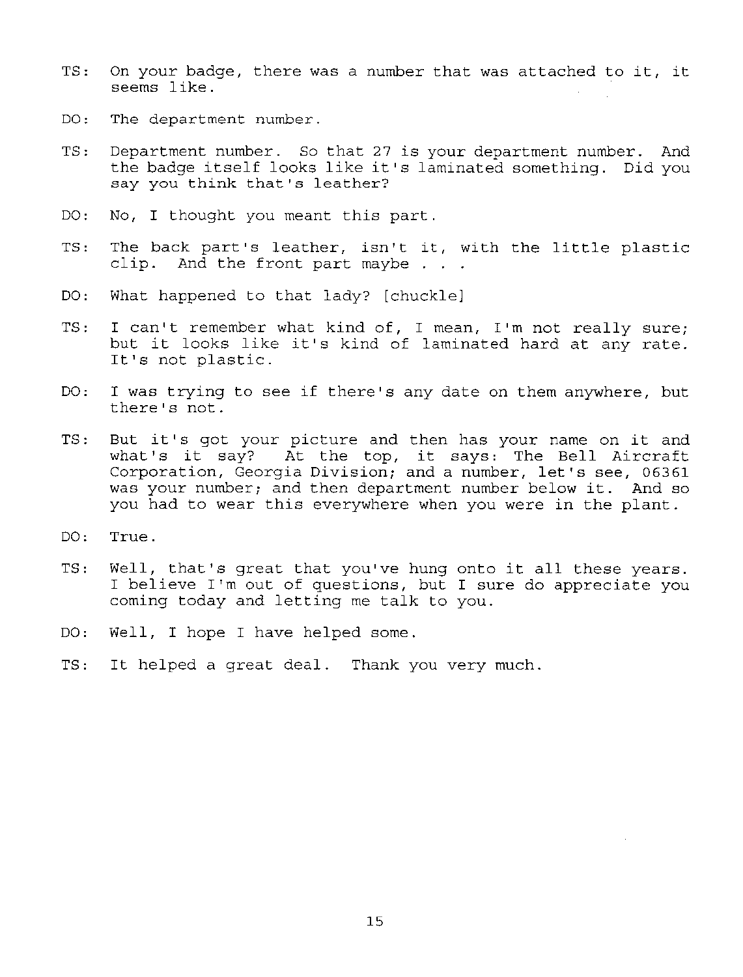- TS: On your badge, there was a number that was attached to it, it seems like.
- DO: The department number.
- TS: Department number. So that 27 is your department number. And the badge itself looks like it's laminated something. Did you say you think that's leather?
- DO: No, I thought you meant this part.
- TS: The back part's leather, isn't it, with the little plastic clip. And the front part maybe
- DO: What happened to that lady? [chuckle]
- TS: I can't remember what kind of, I mean, I'm not really sure; but it looks like it's kind of laminated hard at any rate. It's not plastic.
- DO: I was trying to see if there's any date on them anywhere, but there's not.
- TS: But it's got your picture and then has your name on it and what's it say? At the top, it says: The Bell Aircraft Corporation, Georgia Division; and a number, let's see, 06361 was your number; and then department number below it. And so you had to wear this everywhere when you were in the plant.
- DO: True.
- TS: Well, that's great that you've hung onto it all these years. I believe I'm out of questions, but I sure do appreciate you coming today and letting me talk to you.
- DO: Well, I hope I have helped some.
- Ts, It helped a great deal. Thank you very much.